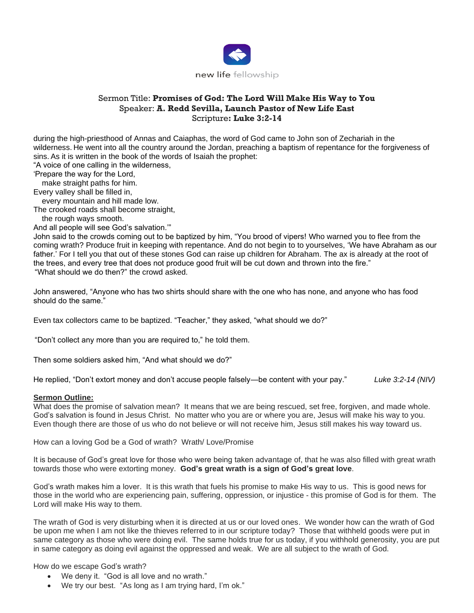

## Sermon Title: **Promises of God: The Lord Will Make His Way to You** Speaker: **A. Redd Sevilla, Launch Pastor of New Life East** Scripture**: Luke 3:2-14**

during the high-priesthood of Annas and Caiaphas, the word of God came to John son of Zechariah in the wilderness. He went into all the country around the Jordan, preaching a baptism of repentance for the forgiveness of sins. As it is written in the book of the words of Isaiah the prophet:

"A voice of one calling in the wilderness,

'Prepare the way for the Lord,

make straight paths for him.

Every valley shall be filled in,

every mountain and hill made low.

The crooked roads shall become straight,

the rough ways smooth.

And all people will see God's salvation.'"

John said to the crowds coming out to be baptized by him, "You brood of vipers! Who warned you to flee from the coming wrath? Produce fruit in keeping with repentance. And do not begin to to yourselves, 'We have Abraham as our father.' For I tell you that out of these stones God can raise up children for Abraham. The ax is already at the root of the trees, and every tree that does not produce good fruit will be cut down and thrown into the fire." "What should we do then?" the crowd asked.

John answered, "Anyone who has two shirts should share with the one who has none, and anyone who has food should do the same."

Even tax collectors came to be baptized. "Teacher," they asked, "what should we do?"

"Don't collect any more than you are required to," he told them.

Then some soldiers asked him, "And what should we do?"

He replied, "Don't extort money and don't accuse people falsely—be content with your pay." *Luke 3:2-14 (NIV)*

## **Sermon Outline:**

What does the promise of salvation mean? It means that we are being rescued, set free, forgiven, and made whole. God's salvation is found in Jesus Christ. No matter who you are or where you are, Jesus will make his way to you. Even though there are those of us who do not believe or will not receive him, Jesus still makes his way toward us.

How can a loving God be a God of wrath? Wrath/ Love/Promise

It is because of God's great love for those who were being taken advantage of, that he was also filled with great wrath towards those who were extorting money. **God's great wrath is a sign of God's great love**.

God's wrath makes him a lover. It is this wrath that fuels his promise to make His way to us. This is good news for those in the world who are experiencing pain, suffering, oppression, or injustice - this promise of God is for them. The Lord will make His way to them.

The wrath of God is very disturbing when it is directed at us or our loved ones. We wonder how can the wrath of God be upon me when I am not like the thieves referred to in our scripture today? Those that withheld goods were put in same category as those who were doing evil. The same holds true for us today, if you withhold generosity, you are put in same category as doing evil against the oppressed and weak. We are all subject to the wrath of God.

How do we escape God's wrath?

- We deny it. "God is all love and no wrath."
- We try our best. "As long as I am trying hard, I'm ok."